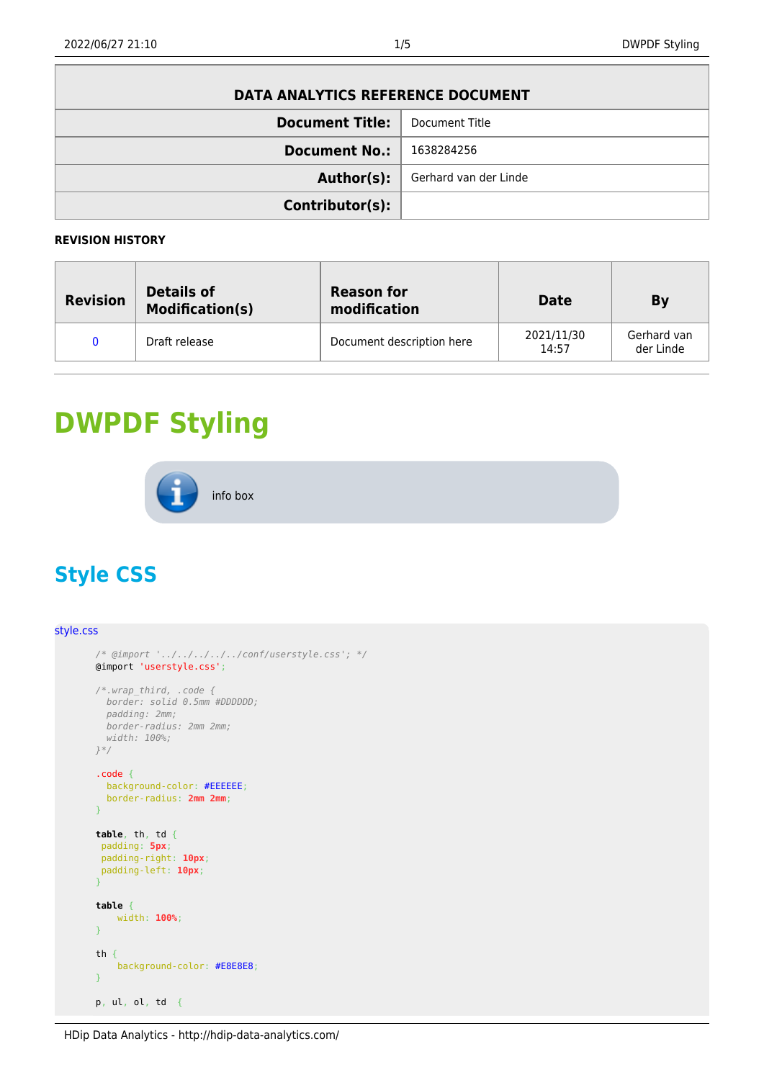| DATA ANALYTICS REFERENCE DOCUMENT |                       |  |  |
|-----------------------------------|-----------------------|--|--|
| <b>Document Title:</b>            | Document Title        |  |  |
| <b>Document No.:</b>              | 1638284256            |  |  |
| Author(s):                        | Gerhard van der Linde |  |  |
| Contributor(s):                   |                       |  |  |

## **REVISION HISTORY**

| <b>Revision</b> | <b>Details of</b><br><b>Modification(s)</b> | <b>Reason for</b><br>modification | <b>Date</b>         | Bv                       |
|-----------------|---------------------------------------------|-----------------------------------|---------------------|--------------------------|
|                 | Draft release                               | Document description here         | 2021/11/30<br>14:57 | Gerhard van<br>der Linde |

## **DWPDF Styling**



## **Style CSS**

```
style.css
       /* @import '../../../../../conf/userstyle.css'; */
       @import 'userstyle.css';
       /*.wrap_third, .code {
         border: solid 0.5mm #DDDDDD;
          padding: 2mm;
          border-radius: 2mm 2mm;
          width: 100%;
       }*/
       .code {
          background-color: #EEEEEE;
          border-radius: 2mm 2mm;
       }
       table, th, td {
       padding: 5px;
        padding-right: 10px;
        padding-left: 10px;
       }
       table {
            width: 100%;
       }
       th {
            background-color: #E8E8E8;
       }
       p, ul, ol, td {
```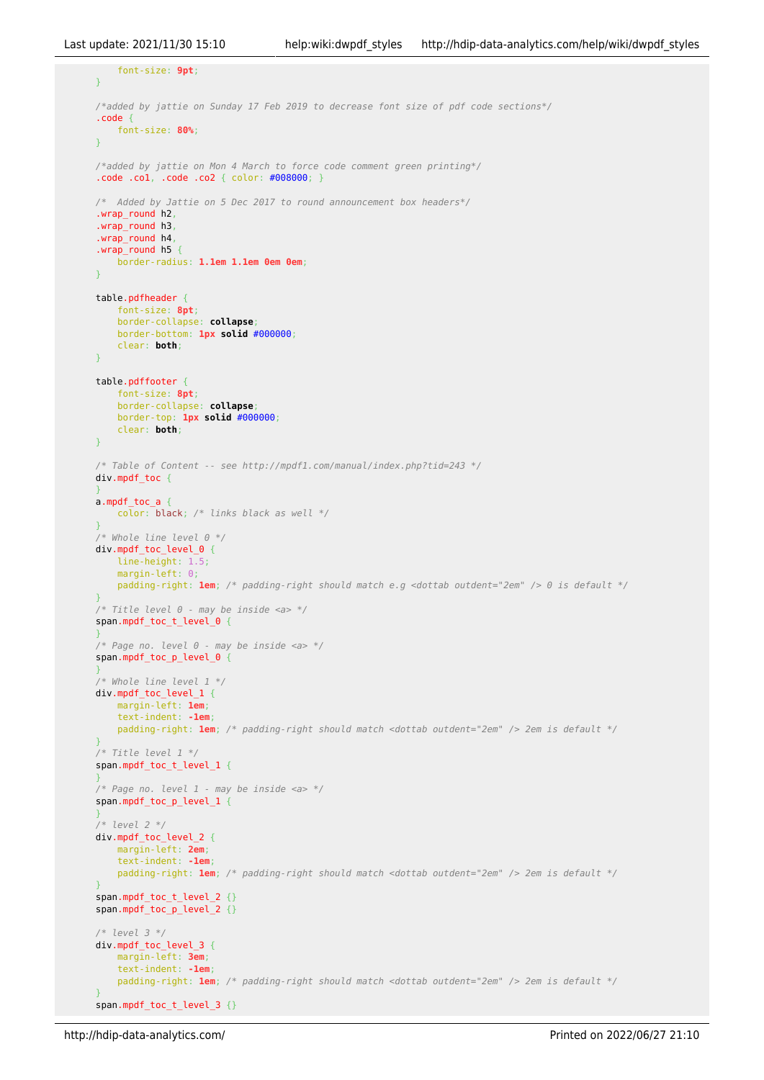```
 font-size: 9pt;
}
/*added by jattie on Sunday 17 Feb 2019 to decrease font size of pdf code sections*/
.code {
     font-size: 80%;
}
/*added by jattie on Mon 4 March to force code comment green printing*/
.code .co1, .code .co2 { color: #008000; }
/* Added by Jattie on 5 Dec 2017 to round announcement box headers*/
.wrap_round h2,
.wrap_round h3,
.wrap_round h4,
.wrap_round h5 {
     border-radius: 1.1em 1.1em 0em 0em;
}
table.pdfheader {
     font-size: 8pt;
     border-collapse: collapse;
     border-bottom: 1px solid #000000;
     clear: both;
}
table.pdffooter {
     font-size: 8pt;
     border-collapse: collapse;
     border-top: 1px solid #000000;
     clear: both;
}
/* Table of Content -- see http://mpdf1.com/manual/index.php?tid=243 */
div.mpdf_toc {
}
a.mpdf_toc_a {
     color: black; /* links black as well */
}
/* Whole line level 0 */
div.mpdf_toc_level_0 {
     line-height: 1.5;
    margin-left: 0:
     padding-right: 1em; /* padding-right should match e.g <dottab outdent="2em" /> 0 is default */
}
/* Title level 0 - may be inside <a> */
span.mpdf_toc_t_level_0 {
}
/* Page no. level 0 - may be inside <a> */
span.mpdf_toc_p_level_0 {
}
/* Whole line level 1 */
div.mpdf_toc_level_1 {
     margin-left: 1em;
     text-indent: -1em;
     padding-right: 1em; /* padding-right should match <dottab outdent="2em" /> 2em is default */
}
/* Title level 1 */
span.mpdf_toc_t_level_1 {
}
/* Page no. level 1 - may be inside <a> */
span.mpdf_toc_p_level_1 {
}
/* level 2 */
div.mpdf_toc_level_2 {
     margin-left: 2em;
     text-indent: -1em;
     padding-right: 1em; /* padding-right should match <dottab outdent="2em" /> 2em is default */
}
span.mpdf toc t level 2 {}
span.mpdf_toc_p_level_2 {}
/* level 3 */
div.mpdf_toc_level_3 {
     margin-left: 3em;
     text-indent: -1em;
     padding-right: 1em; /* padding-right should match <dottab outdent="2em" /> 2em is default */
}
span.mpdf toc t level 3 \{ \}
```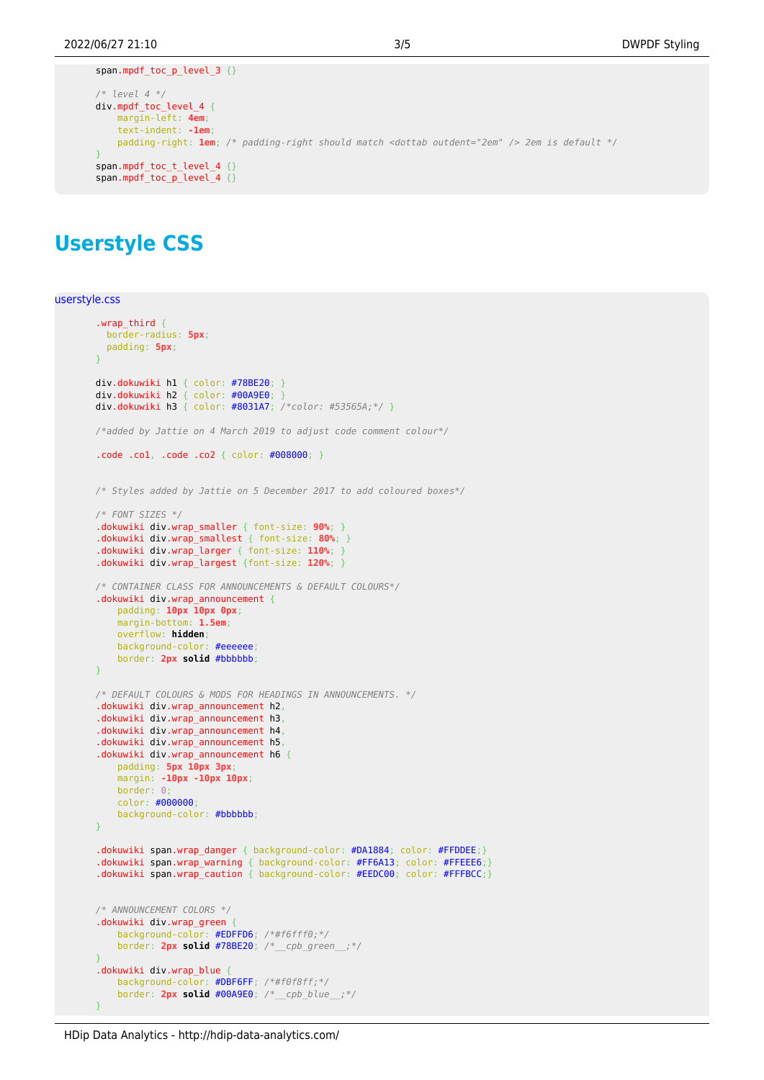```
span.mpdf_toc_p_level_3 {}
/* level 4 */
div.mpdf_toc_level_4 {
     margin-left: 4em;
     text-indent: -1em;
     padding-right: 1em; /* padding-right should match <dottab outdent="2em" /> 2em is default */
}
span.mpdf toc t level 4 \{}
span.mpdf_toc_p_level_4 {}
```
## **Userstyle CSS**

```
userstyle.css
```

```
.wrap third \{ border-radius: 5px;
   padding: 5px;
}
div.dokuwiki h1 { color: #78BE20; }
div.dokuwiki h2 { color: #00A9E0; }
div.dokuwiki h3 { color: #8031A7; /*color: #53565A;*/ }
/*added by Jattie on 4 March 2019 to adjust code comment colour*/
.code .co1, .code .co2 { color: #008000; }
/* Styles added by Jattie on 5 December 2017 to add coloured boxes*/
/* FONT SIZES */
.dokuwiki div.wrap_smaller { font-size: 90%; }
.dokuwiki div.wrap_smallest { font-size: 80%; }
.dokuwiki div.wrap_larger { font-size: 110%; }
.dokuwiki div.wrap_largest {font-size: 120%; }
/* CONTAINER CLASS FOR ANNOUNCEMENTS & DEFAULT COLOURS*/
.dokuwiki div.wrap_announcement {
     padding: 10px 10px 0px;
     margin-bottom: 1.5em;
     overflow: hidden;
     background-color: #eeeeee;
     border: 2px solid #bbbbbb;
}
/* DEFAULT COLOURS & MODS FOR HEADINGS IN ANNOUNCEMENTS. */
.dokuwiki div.wrap_announcement h2,
.dokuwiki div.wrap_announcement h3,
.dokuwiki div.wrap_announcement h4,
.dokuwiki div.wrap_announcement h5,
.dokuwiki div.wrap announcement h6 {
    padding: 5px 10px 3px;
     margin: -10px -10px 10px;
     border: 0;
     color: #000000;
     background-color: #bbbbbb;
}
.dokuwiki span.wrap_danger { background-color: #DA1884; color: #FFDDEE;}
.dokuwiki span.wrap_warning { background-color: #FF6A13; color: #FFEEE6;}
.dokuwiki span.wrap_caution { background-color: #EEDC00; color: #FFFBCC;}
/* ANNOUNCEMENT COLORS */
.dokuwiki div.wrap_green {
     background-color: #EDFFD6; /*#f6fff0;*/
     border: 2px solid #78BE20; /*__cpb_green__;*/
}
.dokuwiki div.wrap_blue {
     background-color: #DBF6FF; /*#f0f8ff;*/
     border: 2px solid #00A9E0; /*__cpb_blue__;*/
}
```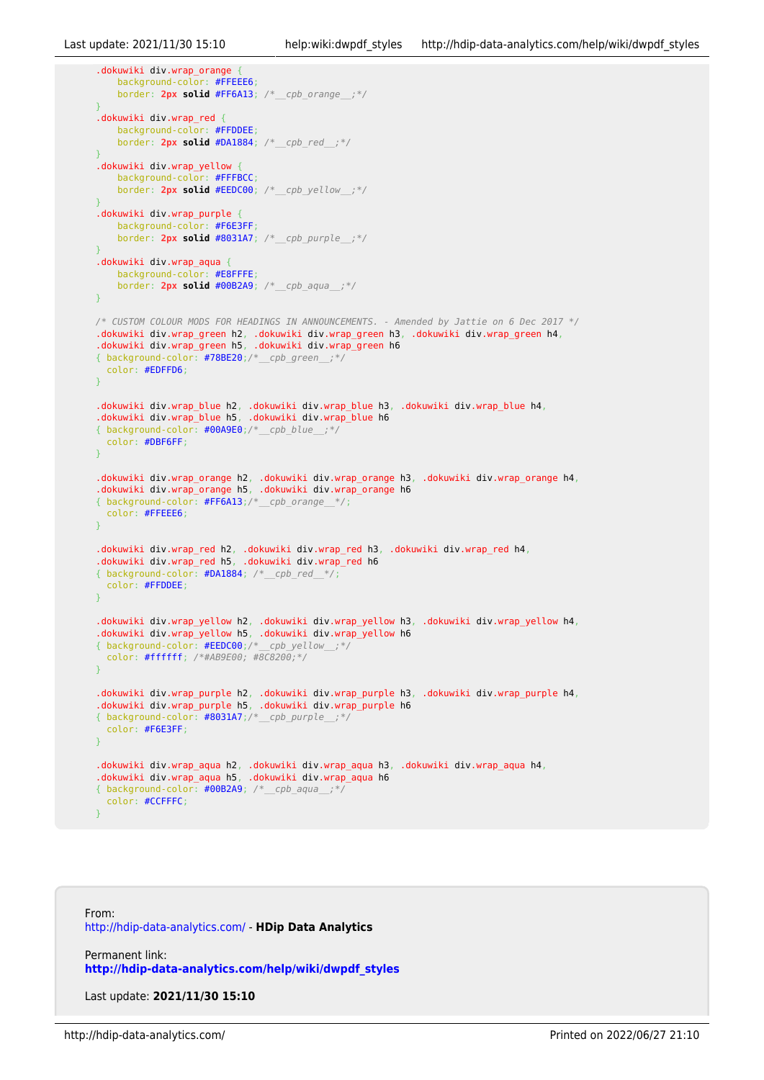```
.dokuwiki div.wrap_orange {
     background-color: #FFEEE6;
     border: 2px solid #FF6A13; /*__cpb_orange__;*/
}
.dokuwiki div.wrap_red {
     background-color: #FFDDEE;
     border: 2px solid #DA1884; /*__cpb_red__;*/
}
.dokuwiki div.wrap_yellow {
     background-color: #FFFBCC;
     border: 2px solid #EEDC00; /*__cpb_yellow__;*/
}
.dokuwiki div.wrap_purple {
     background-color: #F6E3FF;
     border: 2px solid #8031A7; /*__cpb_purple__;*/
}
.dokuwiki div.wrap_aqua {
     background-color: #E8FFFE;
     border: 2px solid #00B2A9; /*__cpb_aqua__;*/
}
/* CUSTOM COLOUR MODS FOR HEADINGS IN ANNOUNCEMENTS. - Amended by Jattie on 6 Dec 2017 */
.dokuwiki div.wrap_green h2, .dokuwiki div.wrap_green h3, .dokuwiki div.wrap_green h4,
.dokuwiki div.wrap_green h5, .dokuwiki div.wrap_green h6
{ background-color: #78BE20;/*__cpb_green__;*/
  color: #EDFFD6;
}
.dokuwiki div.wrap_blue h2, .dokuwiki div.wrap_blue h3, .dokuwiki div.wrap_blue h4,
.dokuwiki div.wrap_blue h5, .dokuwiki div.wrap_blue h6
{ background-color: #00A9E0;/*__cpb_blue__;*/
  color: #DBF6FF;
}
.dokuwiki div.wrap_orange h2, .dokuwiki div.wrap_orange h3, .dokuwiki div.wrap_orange h4,
.dokuwiki div.wrap_orange h5, .dokuwiki div.wrap_orange h6
{ background-color: #FF6A13;/*__cpb_orange__*/;
  color: #FFEEE6;
}
.dokuwiki div.wrap_red h2, .dokuwiki div.wrap_red h3, .dokuwiki div.wrap_red h4,
.dokuwiki div.wrap_red h5, .dokuwiki div.wrap_red h6
{ background-color: #DA1884; /*__cpb_red__*/;
   color: #FFDDEE;
}
.dokuwiki div.wrap_yellow h2, .dokuwiki div.wrap_yellow h3, .dokuwiki div.wrap_yellow h4,
.dokuwiki div.wrap_yellow h5, .dokuwiki div.wrap_yellow h6
{ background-color: #EEDC00;/*__cpb_yellow__;*/
   color: #ffffff; /*#AB9E00; #8C8200;*/
}
.dokuwiki div.wrap_purple h2, .dokuwiki div.wrap_purple h3, .dokuwiki div.wrap_purple h4,
.dokuwiki div.wrap_purple h5, .dokuwiki div.wrap_purple h6
{ background-color: #8031A7;/*__cpb_purple__;*/
  color: #F6E3FF;
}
.dokuwiki div.wrap_aqua h2, .dokuwiki div.wrap_aqua h3, .dokuwiki div.wrap_aqua h4,
.dokuwiki div.wrap_aqua h5, .dokuwiki div.wrap_aqua h6
{ background-color: #00B2A9; /*__cpb_aqua__;*/
   color: #CCFFFC;
}
```
From: <http://hdip-data-analytics.com/> - **HDip Data Analytics**

Permanent link: **[http://hdip-data-analytics.com/help/wiki/dwpdf\\_styles](http://hdip-data-analytics.com/help/wiki/dwpdf_styles)**

Last update: **2021/11/30 15:10**